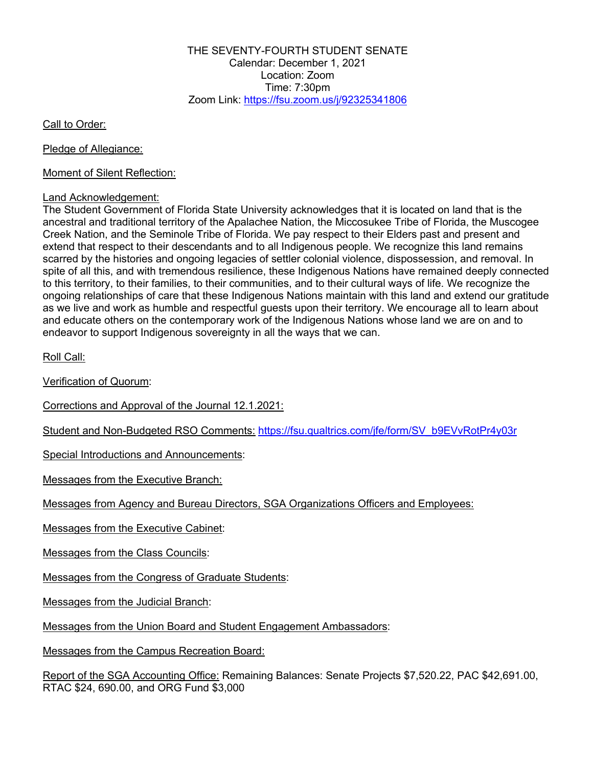THE SEVENTY-FOURTH STUDENT SENATE Calendar: December 1, 2021 Location: Zoom Time: 7:30pm Zoom Link: https://fsu.zoom.us/j/92325341806

Call to Order:

Pledge of Allegiance:

Moment of Silent Reflection:

#### Land Acknowledgement:

The Student Government of Florida State University acknowledges that it is located on land that is the ancestral and traditional territory of the Apalachee Nation, the Miccosukee Tribe of Florida, the Muscogee Creek Nation, and the Seminole Tribe of Florida. We pay respect to their Elders past and present and extend that respect to their descendants and to all Indigenous people. We recognize this land remains scarred by the histories and ongoing legacies of settler colonial violence, dispossession, and removal. In spite of all this, and with tremendous resilience, these Indigenous Nations have remained deeply connected to this territory, to their families, to their communities, and to their cultural ways of life. We recognize the ongoing relationships of care that these Indigenous Nations maintain with this land and extend our gratitude as we live and work as humble and respectful guests upon their territory. We encourage all to learn about and educate others on the contemporary work of the Indigenous Nations whose land we are on and to endeavor to support Indigenous sovereignty in all the ways that we can.

Roll Call:

Verification of Quorum:

Corrections and Approval of the Journal 12.1.2021:

Student and Non-Budgeted RSO Comments: https://fsu.qualtrics.com/jfe/form/SV\_b9EVvRotPr4y03r

Special Introductions and Announcements:

Messages from the Executive Branch:

Messages from Agency and Bureau Directors, SGA Organizations Officers and Employees:

Messages from the Executive Cabinet:

Messages from the Class Councils:

Messages from the Congress of Graduate Students:

Messages from the Judicial Branch:

Messages from the Union Board and Student Engagement Ambassadors:

Messages from the Campus Recreation Board:

Report of the SGA Accounting Office: Remaining Balances: Senate Projects \$7,520.22, PAC \$42,691.00, RTAC \$24, 690.00, and ORG Fund \$3,000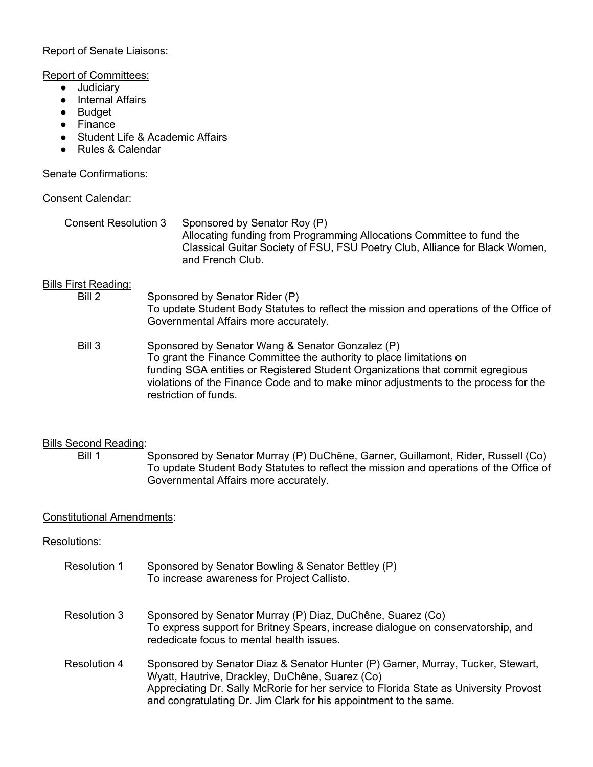## Report of Senate Liaisons:

### Report of Committees:

- Judiciary
- Internal Affairs
- Budget
- Finance
- Student Life & Academic Affairs
- Rules & Calendar

## Senate Confirmations:

## Consent Calendar:

| Consent Resolution 3 | Sponsored by Senator Roy (P)                                                |
|----------------------|-----------------------------------------------------------------------------|
|                      | Allocating funding from Programming Allocations Committee to fund the       |
|                      | Classical Guitar Society of FSU, FSU Poetry Club, Alliance for Black Women, |
|                      | and French Club.                                                            |

# Bills First Reading:<br>Bill 2

- Sponsored by Senator Rider (P) To update Student Body Statutes to reflect the mission and operations of the Office of Governmental Affairs more accurately.
- Bill 3 Sponsored by Senator Wang & Senator Gonzalez (P) To grant the Finance Committee the authority to place limitations on funding SGA entities or Registered Student Organizations that commit egregious violations of the Finance Code and to make minor adjustments to the process for the restriction of funds.

# Bills Second Reading:

Bill 1 Sponsored by Senator Murray (P) DuChêne, Garner, Guillamont, Rider, Russell (Co) To update Student Body Statutes to reflect the mission and operations of the Office of Governmental Affairs more accurately.

# Constitutional Amendments:

# Resolutions:

Resolution 1 Sponsored by Senator Bowling & Senator Bettley (P) To increase awareness for Project Callisto. Resolution 3 Sponsored by Senator Murray (P) Diaz, DuChêne, Suarez (Co) To express support for Britney Spears, increase dialogue on conservatorship, and rededicate focus to mental health issues. Resolution 4 Sponsored by Senator Diaz & Senator Hunter (P) Garner, Murray, Tucker, Stewart, Wyatt, Hautrive, Drackley, DuChêne, Suarez (Co) Appreciating Dr. Sally McRorie for her service to Florida State as University Provost and congratulating Dr. Jim Clark for his appointment to the same.